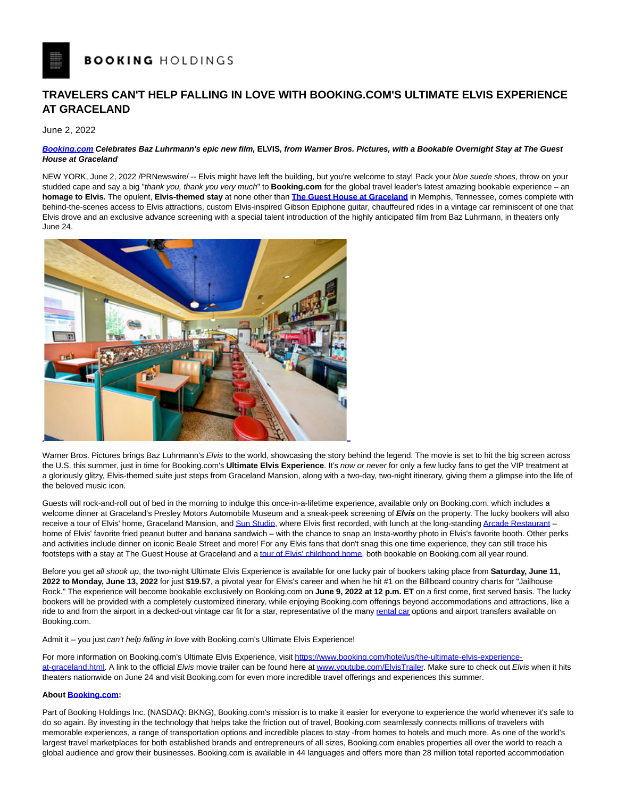## **TRAVELERS CAN'T HELP FALLING IN LOVE WITH BOOKING.COM'S ULTIMATE ELVIS EXPERIENCE AT GRACELAND**

June 2, 2022

## **[Booking.com C](http://booking.com/)elebrates Baz Luhrmann's epic new film, ELVIS, from Warner Bros. Pictures, with a Bookable Overnight Stay at The Guest House at Graceland**

NEW YORK, June 2, 2022 /PRNewswire/ -- Elvis might have left the building, but you're welcome to stay! Pack your blue suede shoes, throw on your studded cape and say a big "thank you, thank you very much" to **Booking.com** for the global travel leader's latest amazing bookable experience – an **homage to Elvis.** The opulent, **Elvis-themed stay** at none other than **[The Guest House at Graceland](https://www.booking.com/hotel/us/the-guest-house-at-graceland.html?label=gen173nr-1DCAEoggI46AdIM1gEaIkCiAEBmAExuAEXyAEM2AED6AEB-AECiAIBqAIDuALFxuqTBsACAdICJGYyMzdiNThmLTgzOGQtNGU5Ny04MmMzLTY2YjQ2MzY1N2RiZtgCBOACAQ&sid=fe73c05b24f289905ee7478bf9e42222&aid=304142&ucfs=1&arphpl=1&checkin=2022-05-11&checkout=2022-05-14&dest_id=1689485&dest_type=hotel&group_adults=2&req_adults=2&no_rooms=1&group_children=0&req_children=0&hpos=1&hapos=1&sr_order=popularity&srpvid=414f7e2f174603f0&srepoch=1652205407&all_sr_blocks=168948502_0_2_0_0&highlighted_blocks=168948502_0_2_0_0&matching_block_id=168948502_0_2_0_0&sr_pri_blocks=168948502_0_2_0_0__58985&tpi_r=1&from=searchresults#hotelTmpl)** in Memphis, Tennessee, comes complete with behind-the-scenes access to Elvis attractions, custom Elvis-inspired Gibson Epiphone guitar, chauffeured rides in a vintage car reminiscent of one that Elvis drove and an exclusive advance screening with a special talent introduction of the highly anticipated film from Baz Luhrmann, in theaters only June 24.



Warner Bros. Pictures brings Baz Luhrmann's Elvis to the world, showcasing the story behind the legend. The movie is set to hit the big screen across the U.S. this summer, just in time for Booking.com's **Ultimate Elvis Experience**. It's now or never for only a few lucky fans to get the VIP treatment at a gloriously glitzy, Elvis-themed suite just steps from Graceland Mansion, along with a two-day, two-night itinerary, giving them a glimpse into the life of the beloved music icon.

Guests will rock-and-roll out of bed in the morning to indulge this once-in-a-lifetime experience, available only on Booking.com, which includes a welcome dinner at Graceland's Presley Motors Automobile Museum and a sneak-peek screening of **Elvis** on the property. The lucky bookers will also receive a tour of Elvis' home, Graceland Mansion, an[d Sun Studio,](https://www.sunstudio.com/) where Elvis first recorded, with lunch at the long-standing [Arcade Restaurant –](https://arcaderestaurant.com/) home of Elvis' favorite fried peanut butter and banana sandwich – with the chance to snap an Insta-worthy photo in Elvis's favorite booth. Other perks and activities include dinner on iconic Beale Street and more! For any Elvis fans that don't snag this one time experience, they can still trace his footsteps with a stay at The Guest House at Graceland and [a tour of Elvis' childhood home,](https://www.booking.com/attractions/us/prlhytdeqtvu-elvis-presley-childhood-home-tour.html) both bookable on Booking.com all year round.

Before you get all shook up, the two-night Ultimate Elvis Experience is available for one lucky pair of bookers taking place from **Saturday, June 11, 2022 to Monday, June 13, 2022** for just **\$19.57**, a pivotal year for Elvis's career and when he hit #1 on the Billboard country charts for "Jailhouse Rock." The experience will become bookable exclusively on Booking.com on **June 9, 2022 at 12 p.m. ET** on a first come, first served basis. The lucky bookers will be provided with a completely customized itinerary, while enjoying Booking.com offerings beyond accommodations and attractions, like a ride to and from the airport in a decked-out vintage car fit for a star, representative of the many [rental car o](https://www.booking.com/cars/index.html?label=gen173nr-1DCAEoggI46AdIM1gEaIkCiAEBmAExuAEXyAEM2AED6AEB-AECiAIBqAIDuALFxuqTBsACAdICJGYyMzdiNThmLTgzOGQtNGU5Ny04MmMzLTY2YjQ2MzY1N2RiZtgCBOACAQ&sid=fe73c05b24f289905ee7478bf9e42222&adplat=cross_product_bar&)ptions and airport transfers available on Booking.com.

Admit it – you just can't help falling in love with Booking.com's Ultimate Elvis Experience!

For more information on Booking.com's Ultimate Elvis Experience, visit [https://www.booking.com/hotel/us/the-ultimate-elvis-experience](https://www.booking.com/hotel/us/the-ultimate-elvis-experience-at-graceland.html)at-graceland.html. A link to the official Elvis movie trailer can be found here a[t www.youtube.com/ElvisTrailer.](https://www.youtube.com/watch?v=wBDLRvjHVOY) Make sure to check out Elvis when it hits theaters nationwide on June 24 and visit Booking.com for even more incredible travel offerings and experiences this summer.

## **Abou[t Booking.com:](https://urldefense.proofpoint.com/v2/url?u=https-3A__www.booking.com_index.en-2Dgb.html&d=DwMFaQ&c=9wxE0DgWbPxd1HCzjwN8Eaww1--ViDajIU4RXCxgSXE&r=aNb1SUf7uGvDzsap6dyWdiFJmWY8u2-giwtABVJAnyc&m=JLjfV7kn4bUpnNjIzHSX7umPAS65Kyoh1lesr6zuwws&s=Hj24oVe38ljC6Ma602ZcCkG-hxILWZa9lNeA96R4-Po&e=)**

Part of Booking Holdings Inc. (NASDAQ: BKNG), Booking.com's mission is to make it easier for everyone to experience the world whenever it's safe to do so again. By investing in the technology that helps take the friction out of travel, Booking.com seamlessly connects millions of travelers with memorable experiences, a range of transportation options and incredible places to stay -from homes to hotels and much more. As one of the world's largest travel marketplaces for both established brands and entrepreneurs of all sizes, Booking.com enables properties all over the world to reach a global audience and grow their businesses. Booking.com is available in 44 languages and offers more than 28 million total reported accommodation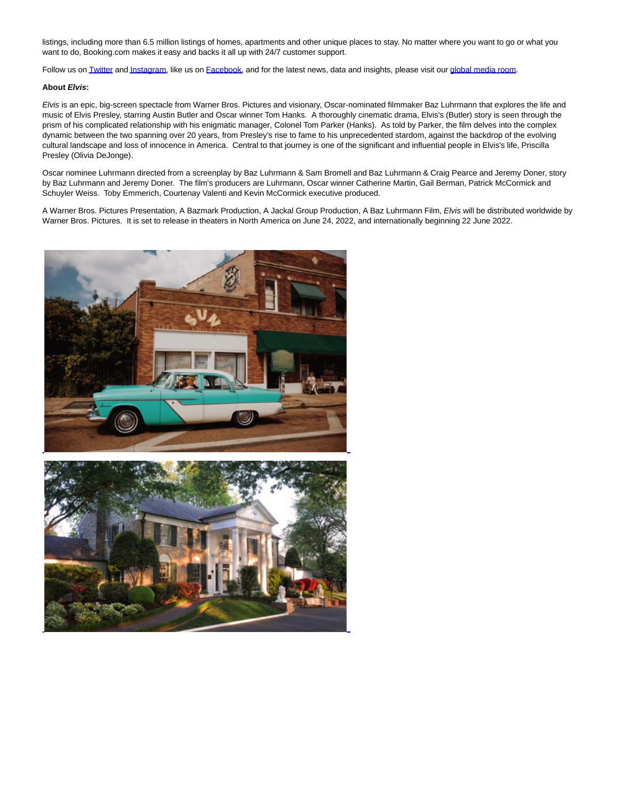listings, including more than 6.5 million listings of homes, apartments and other unique places to stay. No matter where you want to go or what you want to do, Booking.com makes it easy and backs it all up with 24/7 customer support.

Follow us o[n Twitter a](https://twitter.com/bookingcom)n[d Instagram,](https://www.instagram.com/bookingcom/) like us on [Facebook,](https://www.facebook.com/bookingcom) and for the latest news, data and insights, please visit our [global media room.](https://globalnews.booking.com/)

## **About Elvis:**

Elvis is an epic, big-screen spectacle from Warner Bros. Pictures and visionary, Oscar-nominated filmmaker Baz Luhrmann that explores the life and music of Elvis Presley, starring Austin Butler and Oscar winner Tom Hanks. A thoroughly cinematic drama, Elvis's (Butler) story is seen through the prism of his complicated relationship with his enigmatic manager, Colonel Tom Parker (Hanks). As told by Parker, the film delves into the complex dynamic between the two spanning over 20 years, from Presley's rise to fame to his unprecedented stardom, against the backdrop of the evolving cultural landscape and loss of innocence in America. Central to that journey is one of the significant and influential people in Elvis's life, Priscilla Presley (Olivia DeJonge).

Oscar nominee Luhrmann directed from a screenplay by Baz Luhrmann & Sam Bromell and Baz Luhrmann & Craig Pearce and Jeremy Doner, story by Baz Luhrmann and Jeremy Doner. The film's producers are Luhrmann, Oscar winner Catherine Martin, Gail Berman, Patrick McCormick and Schuyler Weiss. Toby Emmerich, Courtenay Valenti and Kevin McCormick executive produced.

A Warner Bros. Pictures Presentation, A Bazmark Production, A Jackal Group Production, A Baz Luhrmann Film, Elvis will be distributed worldwide by Warner Bros. Pictures. It is set to release in theaters in North America on June 24, 2022, and internationally beginning 22 June 2022.